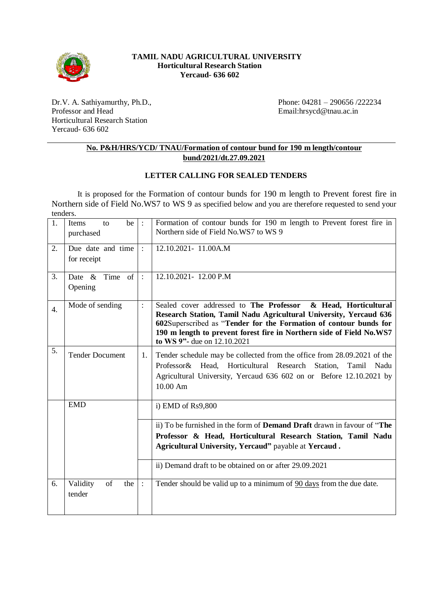

### **TAMIL NADU AGRICULTURAL UNIVERSITY Horticultural Research Station Yercaud- 636 602**

Dr.V. A. Sathiyamurthy, Ph.D., Professor and Head Horticultural Research Station Yercaud- 636 602

Phone: 04281 – 290656 /222234 Email:hrsycd@tnau.ac.in

## **No. P&H/HRS/YCD/ TNAU/Formation of contour bund for 190 m length/contour bund/2021/dt.27.09.2021**

## **LETTER CALLING FOR SEALED TENDERS**

It is proposed for the Formation of contour bunds for 190 m length to Prevent forest fire in Northern side of Field No.WS7 to WS 9 as specified below and you are therefore requested to send your tenders.

| 1.               | be<br>Items<br>to<br>purchased   | $\cdot$ :      | Formation of contour bunds for 190 m length to Prevent forest fire in<br>Northern side of Field No.WS7 to WS 9                                                                                                                                                                                                    |
|------------------|----------------------------------|----------------|-------------------------------------------------------------------------------------------------------------------------------------------------------------------------------------------------------------------------------------------------------------------------------------------------------------------|
| 2.               | Due date and time<br>for receipt | $\ddot{\cdot}$ | 12.10.2021-11.00A.M                                                                                                                                                                                                                                                                                               |
| 3.               | Date & Time of<br>Opening        | $\cdot$ :      | 12.10.2021-12.00 P.M                                                                                                                                                                                                                                                                                              |
| $\overline{4}$ . | Mode of sending                  | $\ddot{\cdot}$ | Sealed cover addressed to The Professor<br>& Head, Horticultural<br>Research Station, Tamil Nadu Agricultural University, Yercaud 636<br>602Superscribed as "Tender for the Formation of contour bunds for<br>190 m length to prevent forest fire in Northern side of Field No.WS7<br>to WS 9"- due on 12.10.2021 |
| 5.               | <b>Tender Document</b>           | 1.             | Tender schedule may be collected from the office from 28.09.2021 of the<br>Professor& Head, Horticultural Research Station,<br>Tamil<br>Nadu<br>Agricultural University, Yercaud 636 602 on or Before 12.10.2021 by<br>$10.00 \text{ Am}$                                                                         |
|                  | <b>EMD</b>                       |                | i) EMD of $Rs9,800$                                                                                                                                                                                                                                                                                               |
|                  |                                  |                | ii) To be furnished in the form of <b>Demand Draft</b> drawn in favour of "The<br>Professor & Head, Horticultural Research Station, Tamil Nadu<br>Agricultural University, Yercaud" payable at Yercaud.<br>ii) Demand draft to be obtained on or after 29.09.2021                                                 |
|                  |                                  |                |                                                                                                                                                                                                                                                                                                                   |
| 6.               | of<br>Validity<br>the<br>tender  | $\cdot$ :      | Tender should be valid up to a minimum of 90 days from the due date.                                                                                                                                                                                                                                              |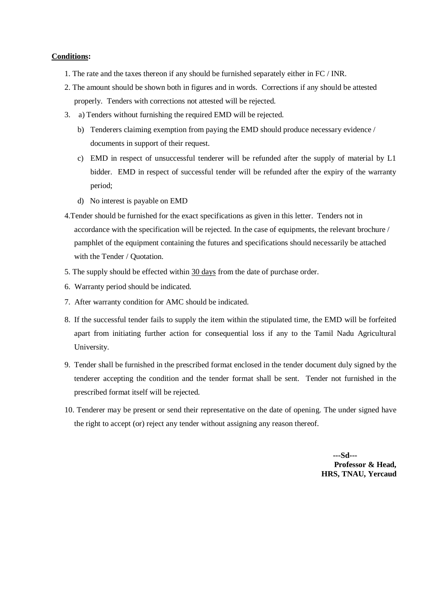#### **Conditions:**

- 1. The rate and the taxes thereon if any should be furnished separately either in FC / INR.
- 2. The amount should be shown both in figures and in words. Corrections if any should be attested properly. Tenders with corrections not attested will be rejected.
- 3. a) Tenders without furnishing the required EMD will be rejected.
	- b) Tenderers claiming exemption from paying the EMD should produce necessary evidence / documents in support of their request.
	- c) EMD in respect of unsuccessful tenderer will be refunded after the supply of material by L1 bidder. EMD in respect of successful tender will be refunded after the expiry of the warranty period;
	- d) No interest is payable on EMD
- 4.Tender should be furnished for the exact specifications as given in this letter. Tenders not in accordance with the specification will be rejected. In the case of equipments, the relevant brochure / pamphlet of the equipment containing the futures and specifications should necessarily be attached with the Tender / Quotation.
- 5. The supply should be effected within 30 days from the date of purchase order.
- 6. Warranty period should be indicated.
- 7. After warranty condition for AMC should be indicated.
- 8. If the successful tender fails to supply the item within the stipulated time, the EMD will be forfeited apart from initiating further action for consequential loss if any to the Tamil Nadu Agricultural University.
- 9. Tender shall be furnished in the prescribed format enclosed in the tender document duly signed by the tenderer accepting the condition and the tender format shall be sent. Tender not furnished in the prescribed format itself will be rejected.
- 10. Tenderer may be present or send their representative on the date of opening. The under signed have the right to accept (or) reject any tender without assigning any reason thereof.

 **---Sd--- Professor & Head, HRS, TNAU, Yercaud**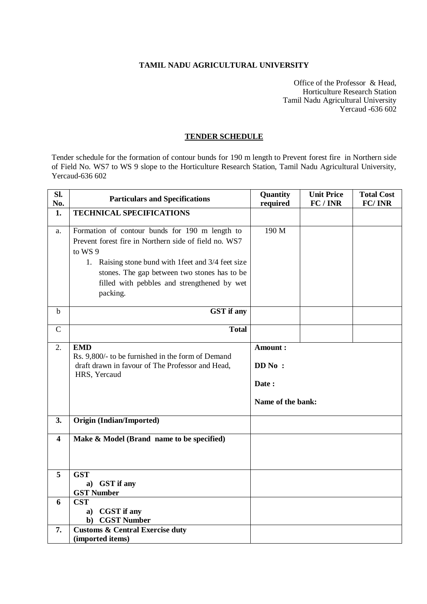### **TAMIL NADU AGRICULTURAL UNIVERSITY**

Office of the Professor & Head, Horticulture Research Station Tamil Nadu Agricultural University Yercaud -636 602

### **TENDER SCHEDULE**

Tender schedule for the formation of contour bunds for 190 m length to Prevent forest fire in Northern side of Field No. WS7 to WS 9 slope to the Horticulture Research Station, Tamil Nadu Agricultural University, Yercaud-636 602

| SI.<br>No.    | <b>Particulars and Specifications</b>                                                                                                                                                                                                                                                | Quantity<br>required                            | <b>Unit Price</b><br>FC/INR | <b>Total Cost</b><br>FC/INR |
|---------------|--------------------------------------------------------------------------------------------------------------------------------------------------------------------------------------------------------------------------------------------------------------------------------------|-------------------------------------------------|-----------------------------|-----------------------------|
| 1.            | <b>TECHNICAL SPECIFICATIONS</b>                                                                                                                                                                                                                                                      |                                                 |                             |                             |
| a.            | Formation of contour bunds for 190 m length to<br>Prevent forest fire in Northern side of field no. WS7<br>to WS 9<br>1. Raising stone bund with 1 feet and 3/4 feet size<br>stones. The gap between two stones has to be<br>filled with pebbles and strengthened by wet<br>packing. | 190 M                                           |                             |                             |
| $\mathbf b$   | <b>GST</b> if any                                                                                                                                                                                                                                                                    |                                                 |                             |                             |
| $\mathcal{C}$ | <b>Total</b>                                                                                                                                                                                                                                                                         |                                                 |                             |                             |
| 2.            | <b>EMD</b><br>Rs. 9,800/- to be furnished in the form of Demand<br>draft drawn in favour of The Professor and Head,<br>HRS, Yercaud                                                                                                                                                  | Amount:<br>DD No:<br>Date:<br>Name of the bank: |                             |                             |
| 3.            | Origin (Indian/Imported)                                                                                                                                                                                                                                                             |                                                 |                             |                             |
| 4             | Make & Model (Brand name to be specified)                                                                                                                                                                                                                                            |                                                 |                             |                             |
| 5             | <b>GST</b><br>a) GST if any<br><b>GST Number</b>                                                                                                                                                                                                                                     |                                                 |                             |                             |
| 6             | <b>CST</b><br><b>CGST</b> if any<br>a)<br><b>CGST Number</b><br>$\mathbf{b}$                                                                                                                                                                                                         |                                                 |                             |                             |
| 7.            | <b>Customs &amp; Central Exercise duty</b><br>(imported items)                                                                                                                                                                                                                       |                                                 |                             |                             |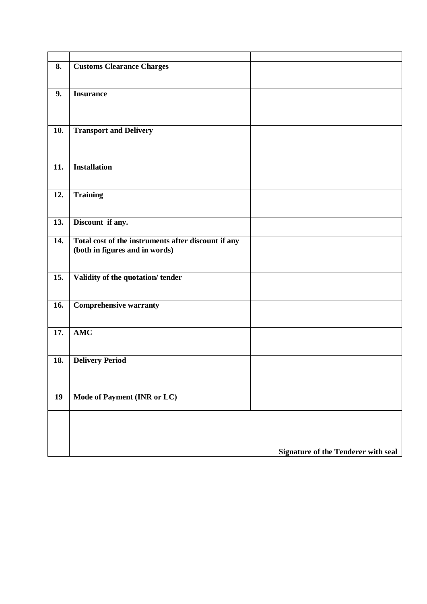| 8.  | <b>Customs Clearance Charges</b>                    |                                     |
|-----|-----------------------------------------------------|-------------------------------------|
|     |                                                     |                                     |
|     |                                                     |                                     |
|     |                                                     |                                     |
| 9.  | <b>Insurance</b>                                    |                                     |
|     |                                                     |                                     |
|     |                                                     |                                     |
|     |                                                     |                                     |
|     |                                                     |                                     |
| 10. | <b>Transport and Delivery</b>                       |                                     |
|     |                                                     |                                     |
|     |                                                     |                                     |
|     |                                                     |                                     |
| 11. | <b>Installation</b>                                 |                                     |
|     |                                                     |                                     |
|     |                                                     |                                     |
|     |                                                     |                                     |
| 12. | <b>Training</b>                                     |                                     |
|     |                                                     |                                     |
|     |                                                     |                                     |
| 13. | Discount if any.                                    |                                     |
|     |                                                     |                                     |
|     |                                                     |                                     |
| 14. | Total cost of the instruments after discount if any |                                     |
|     | (both in figures and in words)                      |                                     |
|     |                                                     |                                     |
|     |                                                     |                                     |
| 15. | Validity of the quotation/tender                    |                                     |
|     |                                                     |                                     |
|     |                                                     |                                     |
|     |                                                     |                                     |
| 16. | <b>Comprehensive warranty</b>                       |                                     |
|     |                                                     |                                     |
|     |                                                     |                                     |
| 17. | <b>AMC</b>                                          |                                     |
|     |                                                     |                                     |
|     |                                                     |                                     |
|     |                                                     |                                     |
| 18. | <b>Delivery Period</b>                              |                                     |
|     |                                                     |                                     |
|     |                                                     |                                     |
|     |                                                     |                                     |
|     |                                                     |                                     |
| 19  | Mode of Payment (INR or LC)                         |                                     |
|     |                                                     |                                     |
|     |                                                     |                                     |
|     |                                                     |                                     |
|     |                                                     |                                     |
|     |                                                     |                                     |
|     |                                                     |                                     |
|     |                                                     | Signature of the Tenderer with seal |